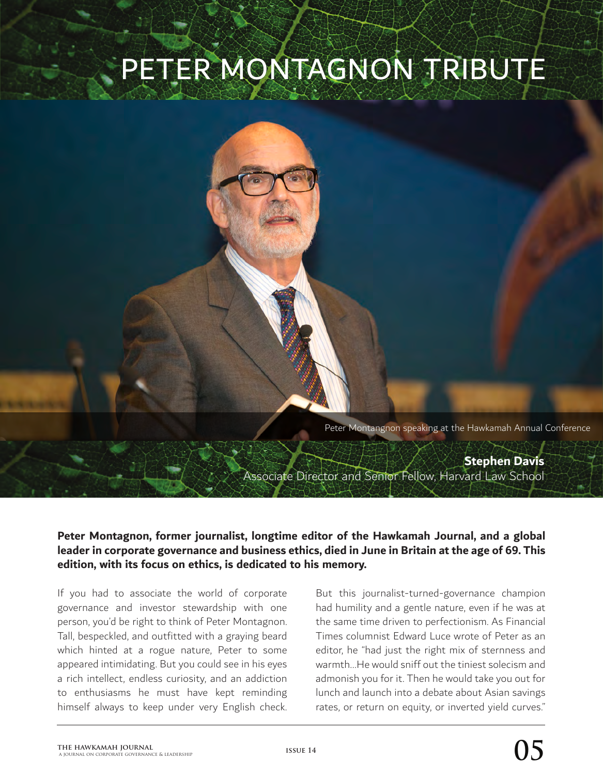## PETER MONTAGNON TRIBUTE

Peter Montangnon speaking at the Hawkamah Annual Conference

**Stephen Davis** Associate Director and Senior Fellow, Harvard Law School

**Peter Montagnon, former journalist, longtime editor of the Hawkamah Journal, and a global leader in corporate governance and business ethics, died in June in Britain at the age of 69. This edition, with its focus on ethics, is dedicated to his memory.**

If you had to associate the world of corporate governance and investor stewardship with one person, you'd be right to think of Peter Montagnon. Tall, bespeckled, and outfitted with a graying beard which hinted at a rogue nature, Peter to some appeared intimidating. But you could see in his eyes a rich intellect, endless curiosity, and an addiction to enthusiasms he must have kept reminding himself always to keep under very English check. But this journalist-turned-governance champion had humility and a gentle nature, even if he was at the same time driven to perfectionism. As Financial Times columnist Edward Luce wrote of Peter as an editor, he "had just the right mix of sternness and warmth…He would sniff out the tiniest solecism and admonish you for it. Then he would take you out for lunch and launch into a debate about Asian savings rates, or return on equity, or inverted yield curves."

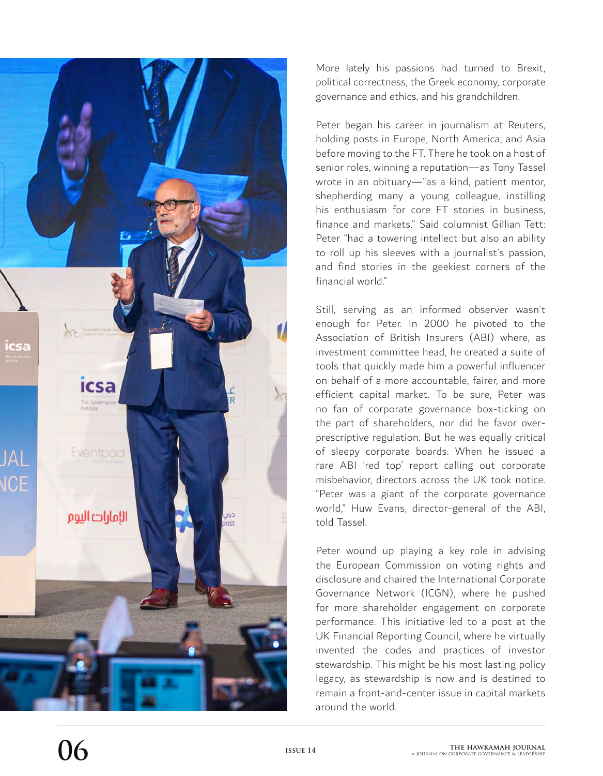

More lately his passions had turned to Brexit, political correctness, the Greek economy, corporate governance and ethics, and his grandchildren.

Peter began his career in journalism at Reuters, holding posts in Europe, North America, and Asia before moving to the FT. There he took on a host of senior roles, winning a reputation—as Tony Tassel wrote in an obituary—"as a kind, patient mentor, shepherding many a young colleague, instilling his enthusiasm for core FT stories in business, finance and markets." Said columnist Gillian Tett: Peter "had a towering intellect but also an ability to roll up his sleeves with a journalist's passion, and find stories in the geekiest corners of the financial world"

Still, serving as an informed observer wasn't enough for Peter. In 2000 he pivoted to the Association of British Insurers (ABI) where, as investment committee head, he created a suite of tools that quickly made him a powerful influencer on behalf of a more accountable, fairer, and more efficient capital market. To be sure, Peter was no fan of corporate governance box-ticking on the part of shareholders, nor did he favor overprescriptive regulation. But he was equally critical of sleepy corporate boards. When he issued a rare ABI 'red top' report calling out corporate misbehavior, directors across the UK took notice. "Peter was a giant of the corporate governance world," Huw Evans, director-general of the ABI, told Tassel.

Peter wound up playing a key role in advising the European Commission on voting rights and disclosure and chaired the International Corporate Governance Network (ICGN), where he pushed for more shareholder engagement on corporate performance. This initiative led to a post at the UK Financial Reporting Council, where he virtually invented the codes and practices of investor stewardship. This might be his most lasting policy legacy, as stewardship is now and is destined to remain a front-and-center issue in capital markets around the world.